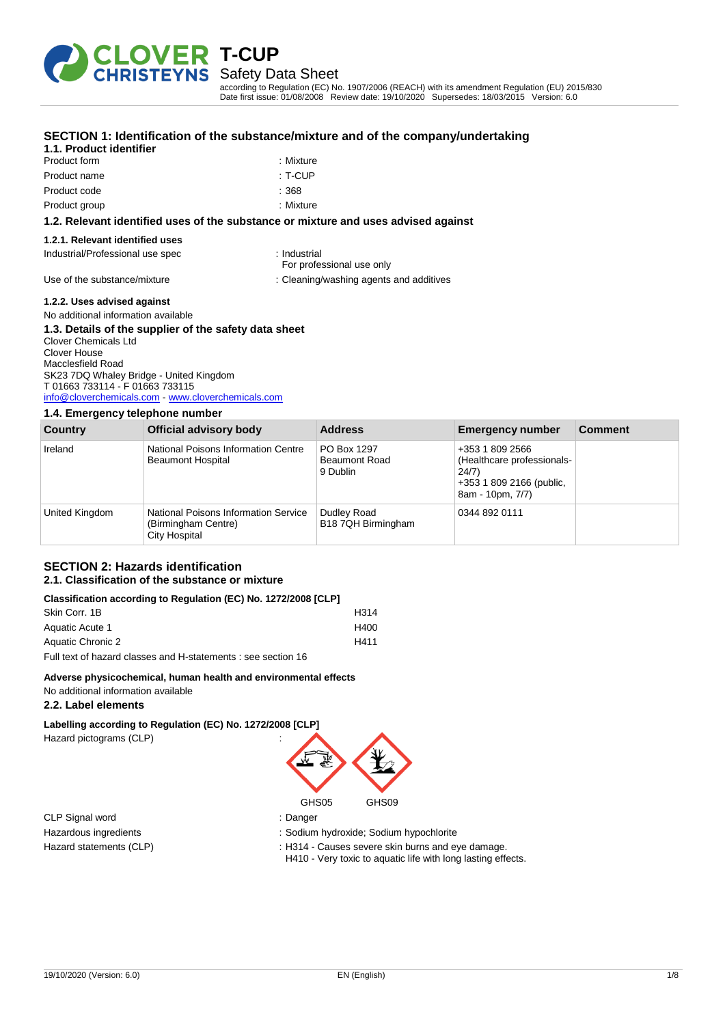

### Safety Data Sheet

according to Regulation (EC) No. 1907/2006 (REACH) with its amendment Regulation (EU) 2015/830 Date first issue: 01/08/2008 Review date: 19/10/2020 Supersedes: 18/03/2015 Version: 6.0

| Product form                     | : Mixture                                                                          |
|----------------------------------|------------------------------------------------------------------------------------|
| Product name                     | : T-CUP                                                                            |
| Product code                     | : 368                                                                              |
| Product group                    | : Mixture                                                                          |
|                                  | 1.2. Relevant identified uses of the substance or mixture and uses advised against |
| 1.2.1. Relevant identified uses  |                                                                                    |
| Industrial/Professional use spec | : Industrial<br>For professional use only                                          |
| Use of the substance/mixture     | : Cleaning/washing agents and additives                                            |
|                                  |                                                                                    |

#### **SECTION 1: Identification of the substance/mixture and of the company/undertaking**

**1.1. Product identifier**

**1.2.2. Uses advised against** No additional information available

#### **1.3. Details of the supplier of the safety data sheet** Clover Chemicals Ltd Clover House

Macclesfield Road SK23 7DQ Whaley Bridge - United Kingdom T 01663 733114 - F 01663 733115 [info@cloverchemicals.com](mailto:info@cloverchemicals.com) - <www.cloverchemicals.com>

#### **1.4. Emergency telephone number**

| <b>Country</b> | Official advisory body                                                              | <b>Address</b>                                  | <b>Emergency number</b>                                                                                | <b>Comment</b> |
|----------------|-------------------------------------------------------------------------------------|-------------------------------------------------|--------------------------------------------------------------------------------------------------------|----------------|
| Ireland        | National Poisons Information Centre<br><b>Beaumont Hospital</b>                     | PO Box 1297<br><b>Beaumont Road</b><br>9 Dublin | +353 1 809 2566<br>(Healthcare professionals-<br>24/7)<br>+353 1 809 2166 (public,<br>8am - 10pm, 7/7) |                |
| United Kingdom | <b>National Poisons Information Service</b><br>(Birmingham Centre)<br>City Hospital | Dudley Road<br>B18 7QH Birmingham               | 0344 892 0111                                                                                          |                |

#### **SECTION 2: Hazards identification 2.1. Classification of the substance or mixture**

#### **Classification according to Regulation (EC) No. 1272/2008 [CLP]**

| Skin Corr, 1B     | H314 |
|-------------------|------|
| Aquatic Acute 1   | H400 |
| Aquatic Chronic 2 | H411 |
|                   |      |

Full text of hazard classes and H-statements : see section 16

#### **Adverse physicochemical, human health and environmental effects**

No additional information available

#### **2.2. Label elements**

**Labelling according to Regulation (EC) No. 1272/2008 [CLP]** Hazard pictograms (CLP) :

CLP Signal word : Danger



Hazardous ingredients : Sodium hydroxide; Sodium hypochlorite

Hazard statements (CLP) **in the statement of the statements (CLP)**  $\cdot$  H314 - Causes severe skin burns and eye damage.

H410 - Very toxic to aquatic life with long lasting effects.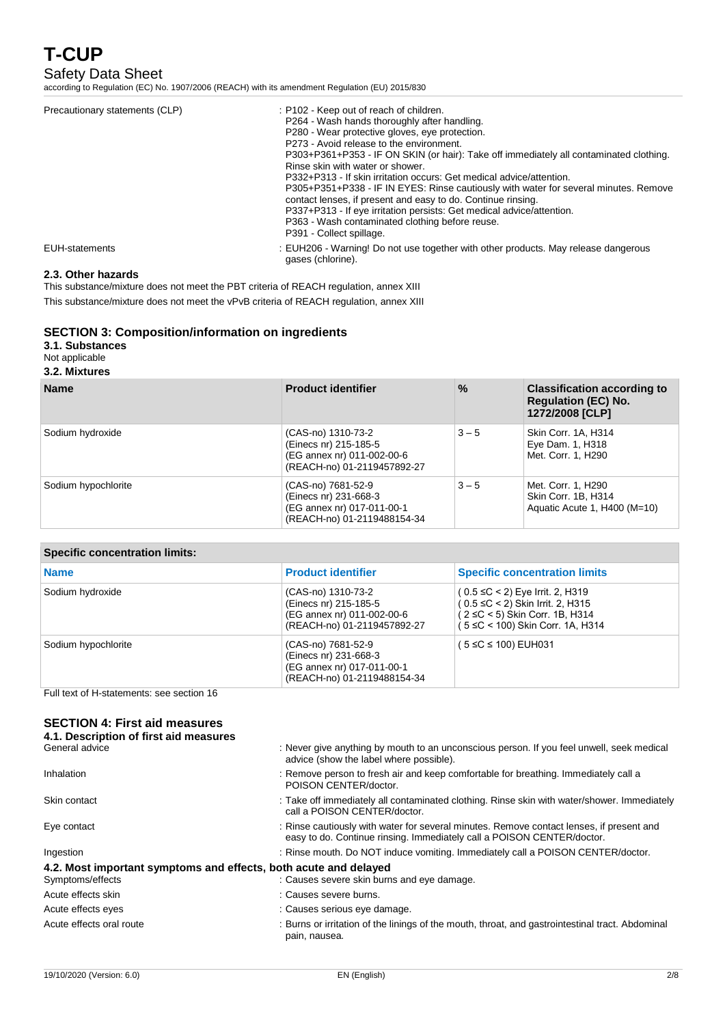# Safety Data Sheet

according to Regulation (EC) No. 1907/2006 (REACH) with its amendment Regulation (EU) 2015/830

| Precautionary statements (CLP) | : P102 - Keep out of reach of children.<br>P264 - Wash hands thoroughly after handling.<br>P280 - Wear protective gloves, eve protection.<br>P273 - Avoid release to the environment.<br>P303+P361+P353 - IF ON SKIN (or hair): Take off immediately all contaminated clothing.<br>Rinse skin with water or shower.<br>P332+P313 - If skin irritation occurs: Get medical advice/attention.<br>P305+P351+P338 - IF IN EYES: Rinse cautiously with water for several minutes. Remove<br>contact lenses, if present and easy to do. Continue rinsing.<br>P337+P313 - If eye irritation persists: Get medical advice/attention.<br>P363 - Wash contaminated clothing before reuse.<br>P391 - Collect spillage. |
|--------------------------------|-------------------------------------------------------------------------------------------------------------------------------------------------------------------------------------------------------------------------------------------------------------------------------------------------------------------------------------------------------------------------------------------------------------------------------------------------------------------------------------------------------------------------------------------------------------------------------------------------------------------------------------------------------------------------------------------------------------|
| EUH-statements                 | : EUH206 - Warning! Do not use together with other products. May release dangerous<br>gases (chlorine).                                                                                                                                                                                                                                                                                                                                                                                                                                                                                                                                                                                                     |

#### **2.3. Other hazards**

This substance/mixture does not meet the PBT criteria of REACH regulation, annex XIII This substance/mixture does not meet the vPvB criteria of REACH regulation, annex XIII

### **SECTION 3: Composition/information on ingredients**

#### **3.1. Substances**

#### Not applicable

#### **3.2. Mixtures**

| <b>Name</b>         | <b>Product identifier</b>                                                                                | $\frac{9}{6}$ | <b>Classification according to</b><br><b>Regulation (EC) No.</b><br>1272/2008 [CLP] |
|---------------------|----------------------------------------------------------------------------------------------------------|---------------|-------------------------------------------------------------------------------------|
| Sodium hydroxide    | (CAS-no) 1310-73-2<br>(Einecs nr) 215-185-5<br>(EG annex nr) 011-002-00-6<br>(REACH-no) 01-2119457892-27 | $3 - 5$       | Skin Corr. 1A, H314<br>Eye Dam. 1, H318<br>Met. Corr. 1, H290                       |
| Sodium hypochlorite | (CAS-no) 7681-52-9<br>(Einecs nr) 231-668-3<br>(EG annex nr) 017-011-00-1<br>(REACH-no) 01-2119488154-34 | $3 - 5$       | Met. Corr. 1, H290<br>Skin Corr. 1B, H314<br>Aquatic Acute 1, H400 (M=10)           |

### **Specific concentration limits:**

| <b>Name</b>         | <b>Product identifier</b>                                                                                | <b>Specific concentration limits</b>                                                                                                                        |
|---------------------|----------------------------------------------------------------------------------------------------------|-------------------------------------------------------------------------------------------------------------------------------------------------------------|
| Sodium hydroxide    | (CAS-no) 1310-73-2<br>(Einecs nr) 215-185-5<br>(EG annex nr) 011-002-00-6<br>(REACH-no) 01-2119457892-27 | $(0.5 \leq C < 2)$ Eye Irrit. 2, H319<br>$(0.5 \leq C < 2)$ Skin Irrit. 2, H315<br>$(2 \leq C < 5)$ Skin Corr. 1B, H314<br>(5 ≤C < 100) Skin Corr. 1A, H314 |
| Sodium hypochlorite | (CAS-no) 7681-52-9<br>(Einecs nr) 231-668-3<br>(EG annex nr) 017-011-00-1<br>(REACH-no) 01-2119488154-34 | (5 ≤C ≤ 100) EUH031                                                                                                                                         |

Full text of H-statements: see section 16

#### **SECTION 4: First aid measures 4.1. Description of first aid n**

| 4.1. Description of hist ald measures                            |                                                                                                                                                                    |
|------------------------------------------------------------------|--------------------------------------------------------------------------------------------------------------------------------------------------------------------|
| General advice                                                   | : Never give anything by mouth to an unconscious person. If you feel unwell, seek medical<br>advice (show the label where possible).                               |
| Inhalation                                                       | : Remove person to fresh air and keep comfortable for breathing. Immediately call a<br>POISON CENTER/doctor.                                                       |
| Skin contact                                                     | : Take off immediately all contaminated clothing. Rinse skin with water/shower. Immediately<br>call a POISON CENTER/doctor.                                        |
| Eye contact                                                      | : Rinse cautiously with water for several minutes. Remove contact lenses, if present and<br>easy to do. Continue rinsing. Immediately call a POISON CENTER/doctor. |
| Ingestion                                                        | : Rinse mouth. Do NOT induce vomiting. Immediately call a POISON CENTER/doctor.                                                                                    |
| 4.2. Most important symptoms and effects, both acute and delayed |                                                                                                                                                                    |
| Symptoms/effects                                                 | : Causes severe skin burns and eye damage.                                                                                                                         |
| Acute effects skin                                               | : Causes severe burns.                                                                                                                                             |
| Acute effects eyes                                               | : Causes serious eye damage.                                                                                                                                       |
| Acute effects oral route                                         | : Burns or irritation of the linings of the mouth, throat, and gastrointestinal tract. Abdominal<br>pain, nausea.                                                  |
|                                                                  |                                                                                                                                                                    |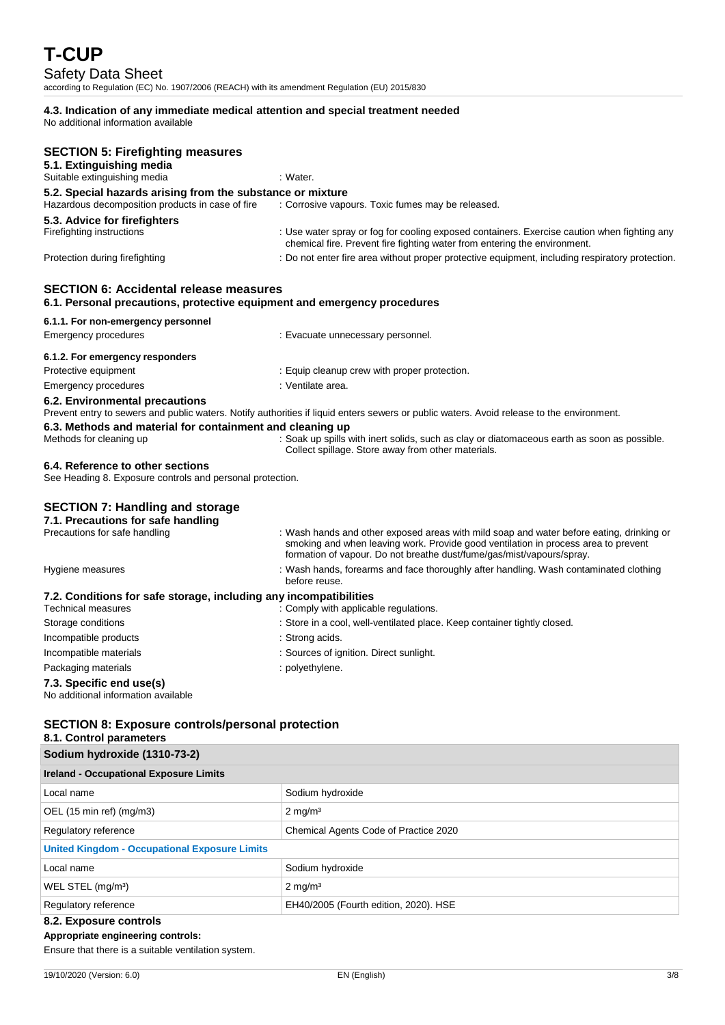# Safety Data Sheet

according to Regulation (EC) No. 1907/2006 (REACH) with its amendment Regulation (EU) 2015/830

# **4.3. Indication of any immediate medical attention and special treatment needed**

No additional information available

| <b>SECTION 5: Firefighting measures</b><br>5.1. Extinguishing media                                                       |                                                                                                                                                                                                                                                         |
|---------------------------------------------------------------------------------------------------------------------------|---------------------------------------------------------------------------------------------------------------------------------------------------------------------------------------------------------------------------------------------------------|
| Suitable extinguishing media                                                                                              | : Water.                                                                                                                                                                                                                                                |
| 5.2. Special hazards arising from the substance or mixture                                                                |                                                                                                                                                                                                                                                         |
| Hazardous decomposition products in case of fire                                                                          | : Corrosive vapours. Toxic fumes may be released.                                                                                                                                                                                                       |
| 5.3. Advice for firefighters<br>Firefighting instructions                                                                 | : Use water spray or fog for cooling exposed containers. Exercise caution when fighting any<br>chemical fire. Prevent fire fighting water from entering the environment.                                                                                |
| Protection during firefighting                                                                                            | : Do not enter fire area without proper protective equipment, including respiratory protection.                                                                                                                                                         |
| <b>SECTION 6: Accidental release measures</b><br>6.1. Personal precautions, protective equipment and emergency procedures |                                                                                                                                                                                                                                                         |
| 6.1.1. For non-emergency personnel                                                                                        |                                                                                                                                                                                                                                                         |
| Emergency procedures                                                                                                      | : Evacuate unnecessary personnel.                                                                                                                                                                                                                       |
| 6.1.2. For emergency responders                                                                                           |                                                                                                                                                                                                                                                         |
| Protective equipment                                                                                                      | : Equip cleanup crew with proper protection.                                                                                                                                                                                                            |
| <b>Emergency procedures</b>                                                                                               | : Ventilate area.                                                                                                                                                                                                                                       |
| 6.2. Environmental precautions                                                                                            | Prevent entry to sewers and public waters. Notify authorities if liquid enters sewers or public waters. Avoid release to the environment.                                                                                                               |
| 6.3. Methods and material for containment and cleaning up                                                                 |                                                                                                                                                                                                                                                         |
| Methods for cleaning up                                                                                                   | : Soak up spills with inert solids, such as clay or diatomaceous earth as soon as possible.<br>Collect spillage. Store away from other materials.                                                                                                       |
| 6.4. Reference to other sections<br>See Heading 8. Exposure controls and personal protection.                             |                                                                                                                                                                                                                                                         |
| <b>SECTION 7: Handling and storage</b>                                                                                    |                                                                                                                                                                                                                                                         |
| 7.1. Precautions for safe handling                                                                                        |                                                                                                                                                                                                                                                         |
| Precautions for safe handling                                                                                             | : Wash hands and other exposed areas with mild soap and water before eating, drinking or<br>smoking and when leaving work. Provide good ventilation in process area to prevent<br>formation of vapour. Do not breathe dust/fume/gas/mist/vapours/spray. |
| Hygiene measures                                                                                                          | : Wash hands, forearms and face thoroughly after handling. Wash contaminated clothing<br>before reuse.                                                                                                                                                  |
| 7.2. Conditions for safe storage, including any incompatibilities                                                         |                                                                                                                                                                                                                                                         |
| <b>Technical measures</b>                                                                                                 | : Comply with applicable regulations.                                                                                                                                                                                                                   |
| Storage conditions                                                                                                        | : Store in a cool, well-ventilated place. Keep container tightly closed.                                                                                                                                                                                |
| Incompatible products                                                                                                     | : Strong acids.                                                                                                                                                                                                                                         |
| Incompatible materials                                                                                                    | : Sources of ignition. Direct sunlight.                                                                                                                                                                                                                 |
| Packaging materials                                                                                                       | : polyethylene.                                                                                                                                                                                                                                         |
| 7.3. Specific end use(s)<br>No additional information available                                                           |                                                                                                                                                                                                                                                         |
| <b>SECTION 8: Exposure controls/personal protection</b>                                                                   |                                                                                                                                                                                                                                                         |

### **8.1. Control parameters**

| Sodium hydroxide (1310-73-2)                         |                                       |  |
|------------------------------------------------------|---------------------------------------|--|
| <b>Ireland - Occupational Exposure Limits</b>        |                                       |  |
| Local name                                           | Sodium hydroxide                      |  |
| OEL (15 min ref) (mg/m3)                             | $2 \text{ mg/m}^3$                    |  |
| Regulatory reference                                 | Chemical Agents Code of Practice 2020 |  |
| <b>United Kingdom - Occupational Exposure Limits</b> |                                       |  |
| Local name                                           | Sodium hydroxide                      |  |
| WEL STEL (mg/m <sup>3</sup> )                        | $2 \text{ mg/m}^3$                    |  |
| Regulatory reference                                 | EH40/2005 (Fourth edition, 2020). HSE |  |
| 8.2. Exposure controls                               |                                       |  |

### **Appropriate engineering controls:**

Ensure that there is a suitable ventilation system.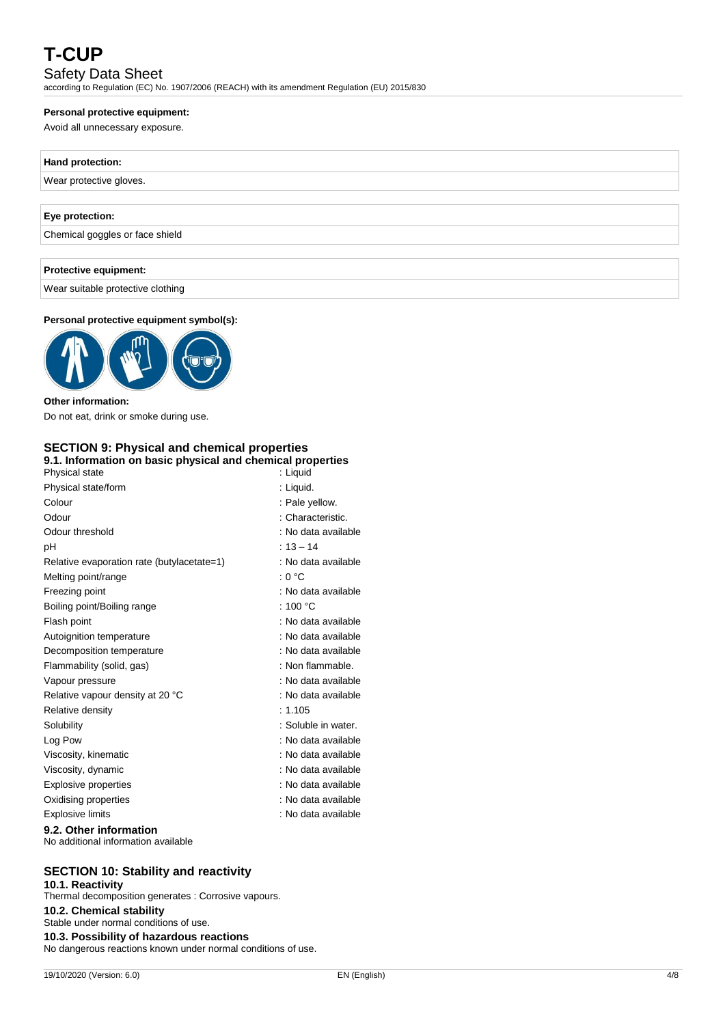# Safety Data Sheet

according to Regulation (EC) No. 1907/2006 (REACH) with its amendment Regulation (EU) 2015/830

#### **Personal protective equipment:**

Avoid all unnecessary exposure.

| Hand protection:                |  |
|---------------------------------|--|
| Wear protective gloves.         |  |
|                                 |  |
| Eye protection:                 |  |
| Chemical goggles or face shield |  |
|                                 |  |
| Protective equipment:           |  |

Wear suitable protective clothing

#### **Personal protective equipment symbol(s):**



**Other information:** Do not eat, drink or smoke during use.

#### **SECTION 9: Physical and chemical properties 9.1. Information on basic physical and chemical properties**

| anon on paolo phyologi and onomioal proportion<br>Physical state | : Liguid            |
|------------------------------------------------------------------|---------------------|
| Physical state/form                                              | : Liquid.           |
| Colour                                                           | : Pale yellow.      |
| Odour                                                            | : Characteristic.   |
| Odour threshold                                                  | : No data available |
| рH                                                               | $: 13 - 14$         |
| Relative evaporation rate (butylacetate=1)                       | : No data available |
| Melting point/range                                              | : 0 °C              |
| Freezing point                                                   | : No data available |
| Boiling point/Boiling range                                      | : 100 °C            |
| Flash point                                                      | : No data available |
| Autoignition temperature                                         | : No data available |
| Decomposition temperature                                        | : No data available |
| Flammability (solid, gas)                                        | : Non flammable.    |
| Vapour pressure                                                  | : No data available |
| Relative vapour density at 20 °C                                 | : No data available |
| Relative density                                                 | : 1.105             |
| Solubility                                                       | : Soluble in water. |
| Log Pow                                                          | : No data available |
| Viscosity, kinematic                                             | : No data available |
| Viscosity, dynamic                                               | : No data available |
| Explosive properties                                             | : No data available |
| Oxidising properties                                             | : No data available |
| <b>Explosive limits</b>                                          | : No data available |
| 00 Other information                                             |                     |

**9.2. Other information** No additional information available

### **SECTION 10: Stability and reactivity**

**10.1. Reactivity** Thermal decomposition generates : Corrosive vapours. **10.2. Chemical stability** Stable under normal conditions of use. **10.3. Possibility of hazardous reactions** No dangerous reactions known under normal conditions of use.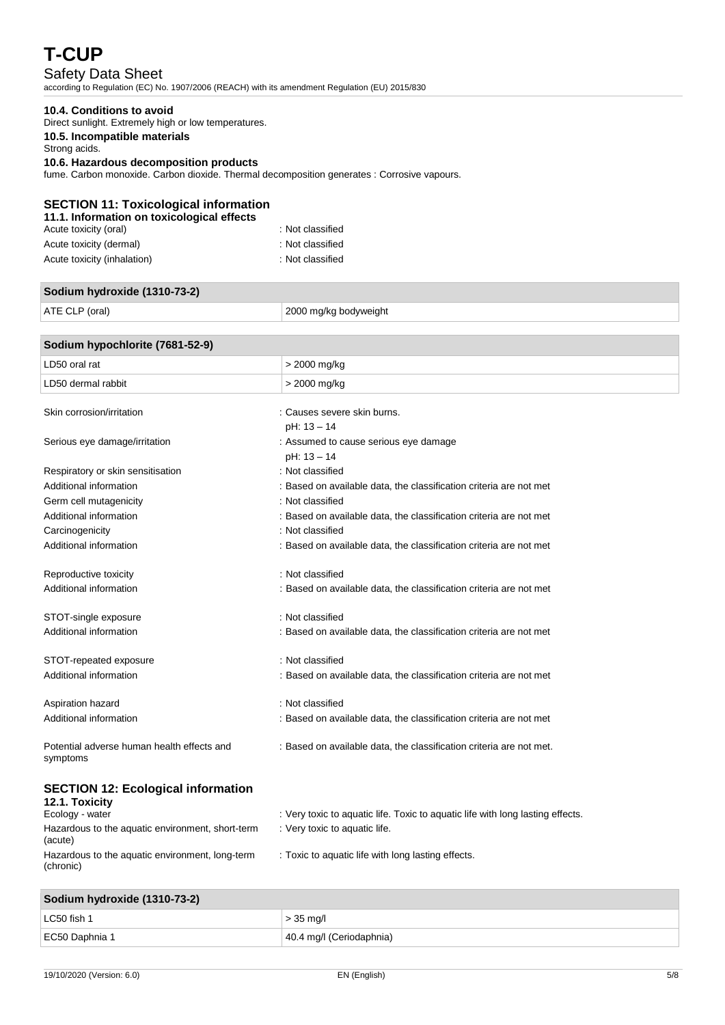# Safety Data Sheet

according to Regulation (EC) No. 1907/2006 (REACH) with its amendment Regulation (EU) 2015/830

#### **10.4. Conditions to avoid**

Direct sunlight. Extremely high or low temperatures.

### **10.5. Incompatible materials**

Strong acids.

#### **10.6. Hazardous decomposition products**

fume. Carbon monoxide. Carbon dioxide. Thermal decomposition generates : Corrosive vapours.

#### **SECTION 11: Toxicological information 11.1. Information on toxicological effects**

| : Not classified |
|------------------|
| : Not classified |
| : Not classified |
|                  |

# **Sodium hydroxide (1310-73-2)**

ATE CLP (oral) 2000 mg/kg bodyweight

# **Sodium hypochlorite (7681-52-9)** LD50 oral rat  $\vert$  > 2000 mg/kg LD50 dermal rabbit  $\vert$  > 2000 mg/kg Skin corrosion/irritation in the second server skin burns. pH: 13 – 14 Serious eye damage/irritation in the serious exercise serious eye damage pH: 13 – 14

| Respiratory or skin sensitisation                      | : Not classified                                                    |
|--------------------------------------------------------|---------------------------------------------------------------------|
| Additional information                                 | : Based on available data, the classification criteria are not met  |
| Germ cell mutagenicity                                 | : Not classified                                                    |
| Additional information                                 | : Based on available data, the classification criteria are not met  |
| Carcinogenicity                                        | : Not classified                                                    |
| Additional information                                 | : Based on available data, the classification criteria are not met  |
| Reproductive toxicity                                  | : Not classified                                                    |
| Additional information                                 | : Based on available data, the classification criteria are not met  |
| STOT-single exposure                                   | : Not classified                                                    |
| Additional information                                 | : Based on available data, the classification criteria are not met  |
| STOT-repeated exposure                                 | : Not classified                                                    |
| Additional information                                 | : Based on available data, the classification criteria are not met  |
| Aspiration hazard                                      | : Not classified                                                    |
| Additional information                                 | : Based on available data, the classification criteria are not met  |
| Potential adverse human health effects and<br>symptoms | : Based on available data, the classification criteria are not met. |
| <b>SECTION 12: Ecological information</b>              |                                                                     |

### **SECTION 12: Ecological information**

| 12.1. Toxicity                                               |                                                                                |
|--------------------------------------------------------------|--------------------------------------------------------------------------------|
| Ecology - water                                              | : Very toxic to aquatic life. Toxic to aquatic life with long lasting effects. |
| Hazardous to the aquatic environment, short-term<br>(acute)  | : Very toxic to aquatic life.                                                  |
| Hazardous to the aquatic environment, long-term<br>(chronic) | : Toxic to aquatic life with long lasting effects.                             |

### **Sodium hydroxide (1310-73-2)**

| LC50 fish 1    | $>$ 35 mg/l              |
|----------------|--------------------------|
| EC50 Daphnia 1 | 40.4 mg/l (Ceriodaphnia) |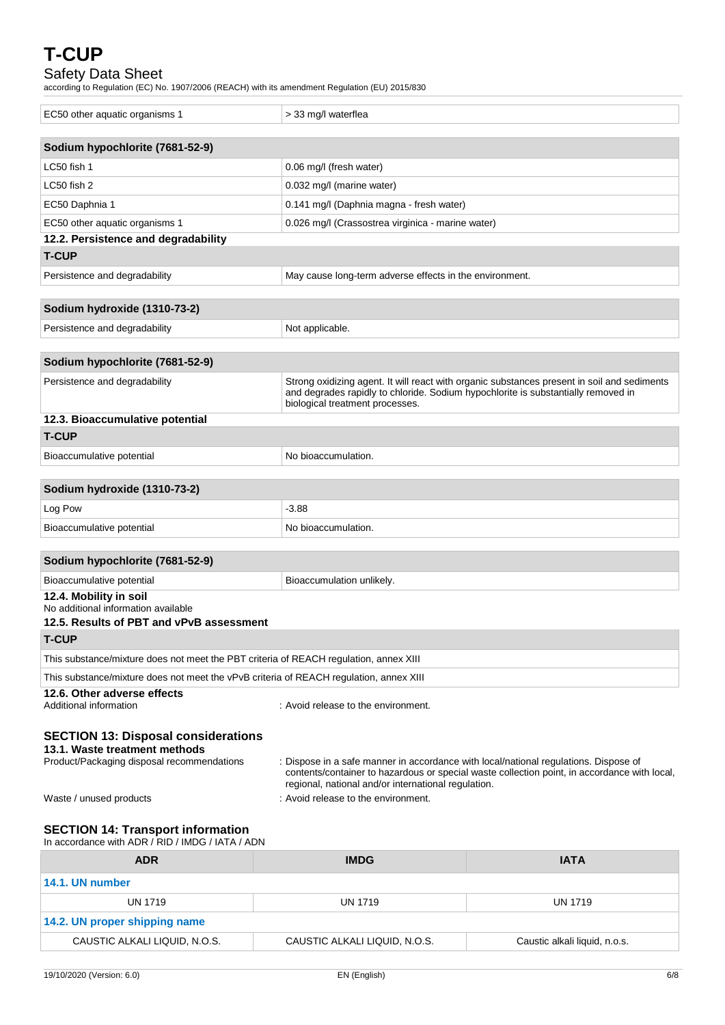# Safety Data Sheet

according to Regulation (EC) No. 1907/2006 (REACH) with its amendment Regulation (EU) 2015/830

| EC50 other aquatic organisms 1                                                         | > 33 mg/l waterflea                                                                                                                         |                                                                                              |
|----------------------------------------------------------------------------------------|---------------------------------------------------------------------------------------------------------------------------------------------|----------------------------------------------------------------------------------------------|
| Sodium hypochlorite (7681-52-9)                                                        |                                                                                                                                             |                                                                                              |
| LC50 fish 1                                                                            | 0.06 mg/l (fresh water)                                                                                                                     |                                                                                              |
| LC50 fish 2                                                                            | 0.032 mg/l (marine water)                                                                                                                   |                                                                                              |
| EC50 Daphnia 1                                                                         | 0.141 mg/l (Daphnia magna - fresh water)                                                                                                    |                                                                                              |
| EC50 other aquatic organisms 1                                                         | 0.026 mg/l (Crassostrea virginica - marine water)                                                                                           |                                                                                              |
| 12.2. Persistence and degradability                                                    |                                                                                                                                             |                                                                                              |
| <b>T-CUP</b>                                                                           |                                                                                                                                             |                                                                                              |
| Persistence and degradability                                                          | May cause long-term adverse effects in the environment.                                                                                     |                                                                                              |
|                                                                                        |                                                                                                                                             |                                                                                              |
| Sodium hydroxide (1310-73-2)                                                           |                                                                                                                                             |                                                                                              |
| Persistence and degradability                                                          | Not applicable.                                                                                                                             |                                                                                              |
| Sodium hypochlorite (7681-52-9)                                                        |                                                                                                                                             |                                                                                              |
| Persistence and degradability                                                          |                                                                                                                                             | Strong oxidizing agent. It will react with organic substances present in soil and sediments  |
|                                                                                        | and degrades rapidly to chloride. Sodium hypochlorite is substantially removed in<br>biological treatment processes.                        |                                                                                              |
| 12.3. Bioaccumulative potential                                                        |                                                                                                                                             |                                                                                              |
| <b>T-CUP</b>                                                                           |                                                                                                                                             |                                                                                              |
| Bioaccumulative potential                                                              | No bioaccumulation.                                                                                                                         |                                                                                              |
|                                                                                        |                                                                                                                                             |                                                                                              |
| Sodium hydroxide (1310-73-2)                                                           |                                                                                                                                             |                                                                                              |
| Log Pow                                                                                | $-3.88$                                                                                                                                     |                                                                                              |
| Bioaccumulative potential                                                              | No bioaccumulation.                                                                                                                         |                                                                                              |
| Sodium hypochlorite (7681-52-9)                                                        |                                                                                                                                             |                                                                                              |
| Bioaccumulative potential                                                              | Bioaccumulation unlikely.                                                                                                                   |                                                                                              |
| 12.4. Mobility in soil                                                                 |                                                                                                                                             |                                                                                              |
| No additional information available<br>12.5. Results of PBT and vPvB assessment        |                                                                                                                                             |                                                                                              |
| <b>T-CUP</b>                                                                           |                                                                                                                                             |                                                                                              |
| This substance/mixture does not meet the PBT criteria of REACH regulation, annex XIII  |                                                                                                                                             |                                                                                              |
| This substance/mixture does not meet the vPvB criteria of REACH regulation, annex XIII |                                                                                                                                             |                                                                                              |
| 12.6. Other adverse effects                                                            |                                                                                                                                             |                                                                                              |
| Additional information                                                                 | : Avoid release to the environment.                                                                                                         |                                                                                              |
| <b>SECTION 13: Disposal considerations</b>                                             |                                                                                                                                             |                                                                                              |
| 13.1. Waste treatment methods                                                          |                                                                                                                                             |                                                                                              |
| Product/Packaging disposal recommendations                                             | : Dispose in a safe manner in accordance with local/national regulations. Dispose of<br>regional, national and/or international regulation. | contents/container to hazardous or special waste collection point, in accordance with local, |
| Waste / unused products                                                                | : Avoid release to the environment.                                                                                                         |                                                                                              |
| <b>SECTION 14: Transport information</b>                                               |                                                                                                                                             |                                                                                              |
| In accordance with ADR / RID / IMDG / IATA / ADN                                       |                                                                                                                                             |                                                                                              |
| <b>ADR</b>                                                                             | <b>IMDG</b>                                                                                                                                 | <b>IATA</b>                                                                                  |

| <b>ADR</b>                    | <b>IMDG</b>                   | <b>IATA</b>                   |  |
|-------------------------------|-------------------------------|-------------------------------|--|
| 14.1. UN number               |                               |                               |  |
| UN 1719                       | UN 1719                       | <b>UN 1719</b>                |  |
| 14.2. UN proper shipping name |                               |                               |  |
| CAUSTIC ALKALI LIQUID, N.O.S. | CAUSTIC ALKALI LIQUID, N.O.S. | Caustic alkali liquid, n.o.s. |  |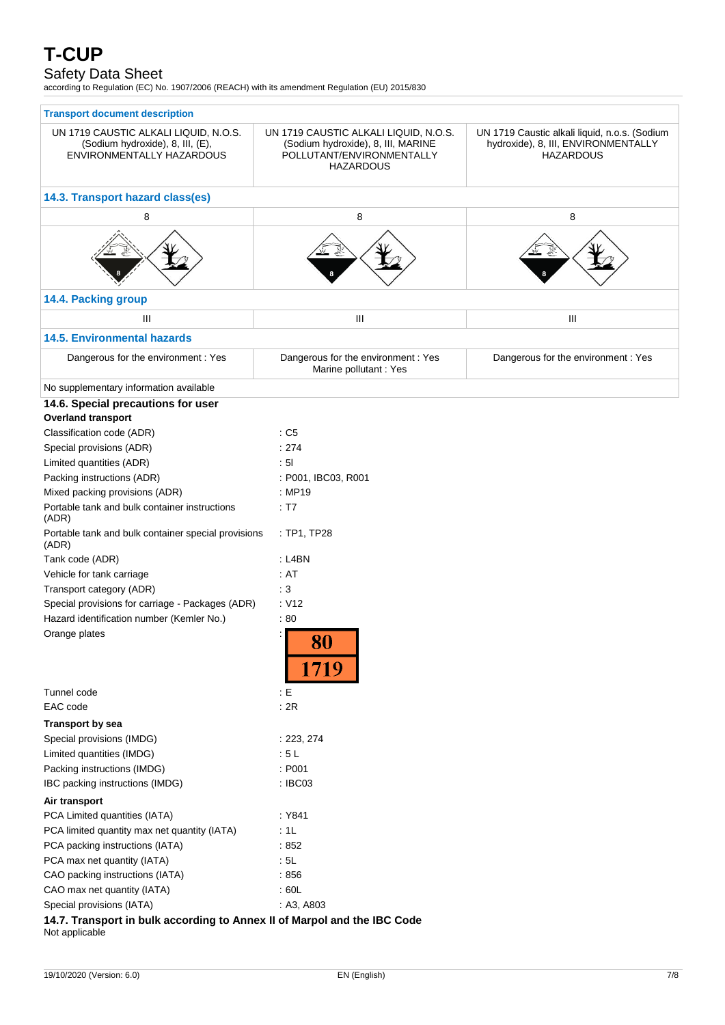# Safety Data Sheet

according to Regulation (EC) No. 1907/2006 (REACH) with its amendment Regulation (EU) 2015/830

| <b>Transport document description</b>                                                                  |                                                                                                                              |                                                                                                          |  |  |
|--------------------------------------------------------------------------------------------------------|------------------------------------------------------------------------------------------------------------------------------|----------------------------------------------------------------------------------------------------------|--|--|
| UN 1719 CAUSTIC ALKALI LIQUID, N.O.S.<br>(Sodium hydroxide), 8, III, (E),<br>ENVIRONMENTALLY HAZARDOUS | UN 1719 CAUSTIC ALKALI LIQUID, N.O.S.<br>(Sodium hydroxide), 8, III, MARINE<br>POLLUTANT/ENVIRONMENTALLY<br><b>HAZARDOUS</b> | UN 1719 Caustic alkali liquid, n.o.s. (Sodium<br>hydroxide), 8, III, ENVIRONMENTALLY<br><b>HAZARDOUS</b> |  |  |
| 14.3. Transport hazard class(es)                                                                       |                                                                                                                              |                                                                                                          |  |  |
| 8                                                                                                      | 8                                                                                                                            | 8                                                                                                        |  |  |
|                                                                                                        |                                                                                                                              |                                                                                                          |  |  |
| 14.4. Packing group                                                                                    |                                                                                                                              |                                                                                                          |  |  |
| Ш                                                                                                      | Ш                                                                                                                            | Ш                                                                                                        |  |  |
| <b>14.5. Environmental hazards</b>                                                                     |                                                                                                                              |                                                                                                          |  |  |
| Dangerous for the environment : Yes                                                                    | Dangerous for the environment : Yes<br>Marine pollutant: Yes                                                                 | Dangerous for the environment : Yes                                                                      |  |  |
| No supplementary information available                                                                 |                                                                                                                              |                                                                                                          |  |  |
| 14.6. Special precautions for user<br><b>Overland transport</b>                                        |                                                                                                                              |                                                                                                          |  |  |
| Classification code (ADR)                                                                              | : C5                                                                                                                         |                                                                                                          |  |  |
| Special provisions (ADR)                                                                               | : 274                                                                                                                        |                                                                                                          |  |  |
| Limited quantities (ADR)                                                                               | : 51                                                                                                                         |                                                                                                          |  |  |
| Packing instructions (ADR)                                                                             | : P001, IBC03, R001                                                                                                          |                                                                                                          |  |  |
| Mixed packing provisions (ADR)                                                                         | : MP19                                                                                                                       |                                                                                                          |  |  |
| Portable tank and bulk container instructions<br>(ADR)                                                 | : T7                                                                                                                         |                                                                                                          |  |  |
| Portable tank and bulk container special provisions<br>(ADR)                                           | : TP1, TP28                                                                                                                  |                                                                                                          |  |  |
| Tank code (ADR)                                                                                        | $:$ L4BN                                                                                                                     |                                                                                                          |  |  |
| Vehicle for tank carriage                                                                              | : AT                                                                                                                         |                                                                                                          |  |  |
| Transport category (ADR)                                                                               | $\therefore$ 3                                                                                                               |                                                                                                          |  |  |
| Special provisions for carriage - Packages (ADR)                                                       | : V12                                                                                                                        |                                                                                                          |  |  |
| Hazard identification number (Kemler No.)                                                              | :80                                                                                                                          |                                                                                                          |  |  |
| Orange plates                                                                                          | 1719                                                                                                                         |                                                                                                          |  |  |
| Tunnel code                                                                                            | : E                                                                                                                          |                                                                                                          |  |  |
| EAC code                                                                                               | : 2R                                                                                                                         |                                                                                                          |  |  |
| <b>Transport by sea</b>                                                                                |                                                                                                                              |                                                                                                          |  |  |
| Special provisions (IMDG)                                                                              | : 223, 274                                                                                                                   |                                                                                                          |  |  |
| Limited quantities (IMDG)                                                                              | :5L                                                                                                                          |                                                                                                          |  |  |
| Packing instructions (IMDG)                                                                            | : P001                                                                                                                       |                                                                                                          |  |  |
| IBC packing instructions (IMDG)                                                                        | : IBC03                                                                                                                      |                                                                                                          |  |  |
| Air transport                                                                                          |                                                                                                                              |                                                                                                          |  |  |
| PCA Limited quantities (IATA)                                                                          | : Y841                                                                                                                       |                                                                                                          |  |  |
| PCA limited quantity max net quantity (IATA)                                                           | :1L                                                                                                                          |                                                                                                          |  |  |
| PCA packing instructions (IATA)                                                                        | :852                                                                                                                         |                                                                                                          |  |  |
| PCA max net quantity (IATA)                                                                            | : 5L                                                                                                                         |                                                                                                          |  |  |
| CAO packing instructions (IATA)                                                                        | :856                                                                                                                         |                                                                                                          |  |  |
| CAO max net quantity (IATA)                                                                            | : 60L                                                                                                                        |                                                                                                          |  |  |
| Special provisions (IATA)                                                                              | : A3, A803                                                                                                                   |                                                                                                          |  |  |
|                                                                                                        |                                                                                                                              |                                                                                                          |  |  |

**14.7. Transport in bulk according to Annex II of Marpol and the IBC Code** Not applicable